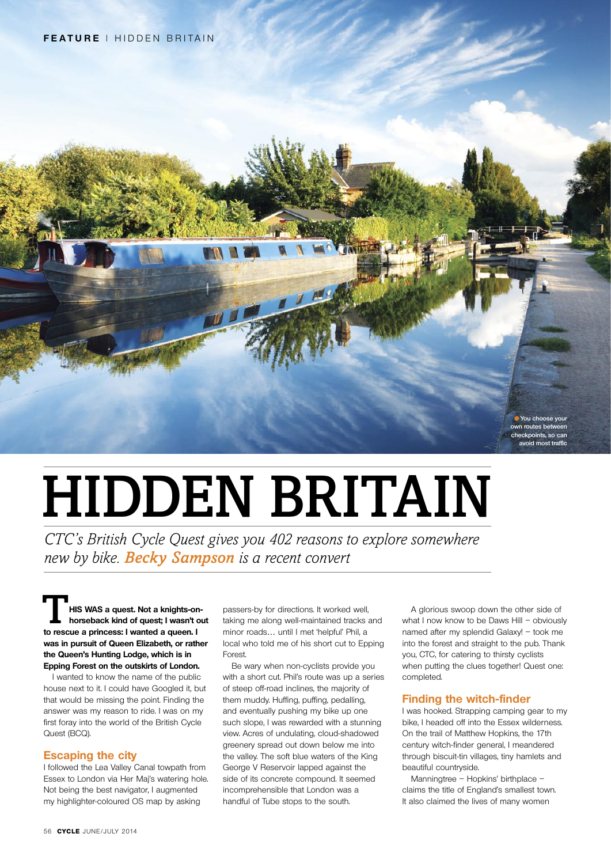

# HIDDEN BRITAIN

*CTC's British Cycle Quest gives you 402 reasons to explore somewhere new by bike. Becky Sampson is a recent convert*

**horseback kind of quest. Not a knights-on-**<br> **horseback kind of quest; I wasn't out to rescue a princess: I wanted a queen. I was in pursuit of Queen Elizabeth, or rather the Queen's Hunting Lodge, which is in Epping Forest on the outskirts of London.** 

I wanted to know the name of the public house next to it. I could have Googled it, but that would be missing the point. Finding the answer was my reason to ride. I was on my first foray into the world of the British Cycle Quest (BCQ).

#### **Escaping the city**

I followed the Lea Valley Canal towpath from Essex to London via Her Maj's watering hole. Not being the best navigator, I augmented my highlighter-coloured OS map by asking

passers-by for directions. It worked well, taking me along well-maintained tracks and minor roads… until I met 'helpful' Phil, a local who told me of his short cut to Epping Forest.

Be wary when non-cyclists provide you with a short cut. Phil's route was up a series of steep off-road inclines, the majority of them muddy. Huffing, puffing, pedalling, and eventually pushing my bike up one such slope, I was rewarded with a stunning view. Acres of undulating, cloud-shadowed greenery spread out down below me into the valley. The soft blue waters of the King George V Reservoir lapped against the side of its concrete compound. It seemed incomprehensible that London was a handful of Tube stops to the south.

A glorious swoop down the other side of what I now know to be Daws Hill – obviously named after my splendid Galaxy! – took me into the forest and straight to the pub. Thank you, CTC, for catering to thirsty cyclists when putting the clues together! Quest one: completed.

#### **Finding the witch-finder**

I was hooked. Strapping camping gear to my bike, I headed off into the Essex wilderness. On the trail of Matthew Hopkins, the 17th century witch-finder general, I meandered through biscuit-tin villages, tiny hamlets and beautiful countryside.

Manningtree – Hopkins' birthplace – claims the title of England's smallest town. It also claimed the lives of many women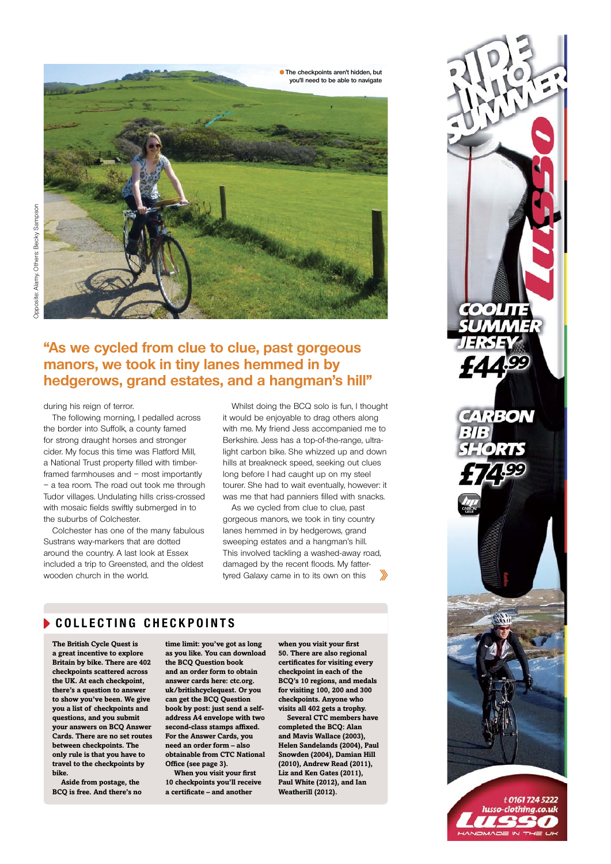

# **"As we cycled from clue to clue, past gorgeous manors, we took in tiny lanes hemmed in by hedgerows, grand estates, and a hangman's hill"**

#### during his reign of terror.

The following morning, I pedalled across the border into Suffolk, a county famed for strong draught horses and stronger cider. My focus this time was Flatford Mill, a National Trust property filled with timberframed farmhouses and – most importantly – a tea room. The road out took me through Tudor villages. Undulating hills criss-crossed with mosaic fields swiftly submerged in to the suburbs of Colchester.

Colchester has one of the many fabulous Sustrans way-markers that are dotted around the country. A last look at Essex included a trip to Greensted, and the oldest wooden church in the world.

Whilst doing the BCQ solo is fun, I thought it would be enjoyable to drag others along with me. My friend Jess accompanied me to Berkshire. Jess has a top-of-the-range, ultralight carbon bike. She whizzed up and down hills at breakneck speed, seeking out clues long before I had caught up on my steel tourer. She had to wait eventually, however: it was me that had panniers filled with snacks.

As we cycled from clue to clue, past gorgeous manors, we took in tiny country lanes hemmed in by hedgerows, grand sweeping estates and a hangman's hill. This involved tackling a washed-away road, damaged by the recent floods. My fattertyred Galaxy came in to its own on this

### **Colle c ting c h e c kpoints**

**The British Cycle Quest is a great incentive to explore Britain by bike. There are 402 checkpoints scattered across the UK. At each checkpoint, there's a question to answer to show you've been. We give you a list of checkpoints and questions, and you submit your answers on BCQ Answer Cards. There are no set routes between checkpoints. The only rule is that you have to travel to the checkpoints by bike.**

**Aside from postage, the BCQ is free. And there's no**  **time limit: you've got as long as you like. You can download the BCQ Question book and an order form to obtain answer cards here: ctc.org. uk/britishcyclequest. Or you can get the BCQ Question book by post: just send a selfaddress A4 envelope with two second-class stamps affixed. For the Answer Cards, you need an order form – also obtainable from CTC National Office (see page 3).**

**When you visit your first 10 checkpoints you'll receive a certificate – and another** 

**when you visit your first 50. There are also regional certificates for visiting every checkpoint in each of the BCQ's 10 regions, and medals for visiting 100, 200 and 300 checkpoints. Anyone who visits all 402 gets a trophy.**

**Several CTC members have completed the BCQ: Alan and Mavis Wallace (2003), Helen Sandelands (2004), Paul Snowden (2004), Damian Hill (2010), Andrew Read (2011), Liz and Ken Gates (2011), Paul White (2012), and Ian Weatherill (2012).**